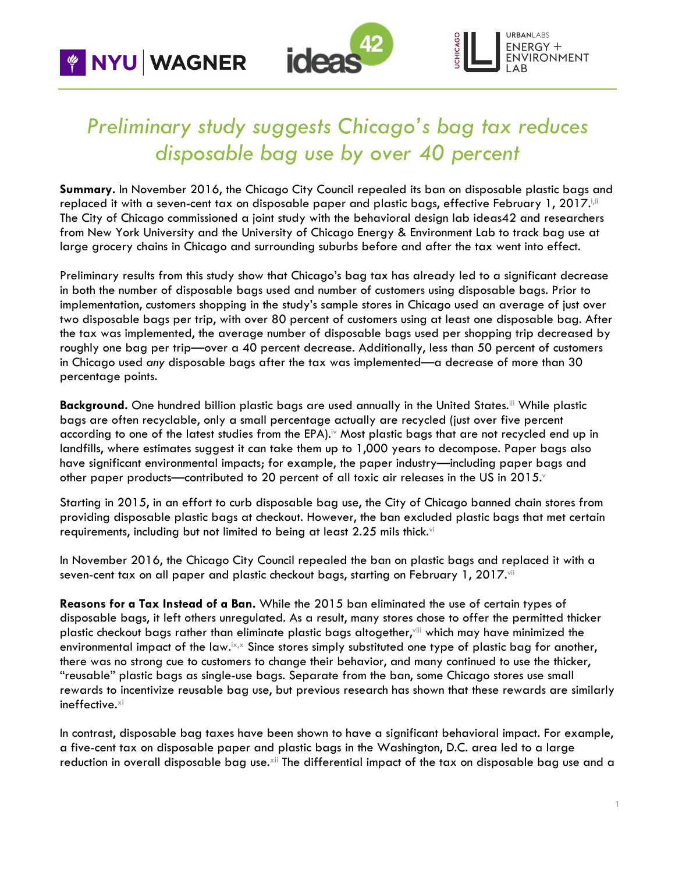**WAGNER** 



**JRBANLABS**  $ENERGY +$ ONMENT

## *Preliminary study suggests Chicago's bag tax reduces disposable bag use by over 40 percent*

**Summary.** In November 2016, the Chicago City Council repealed its ban on disposable plastic bags and replaced it with a seven-cent tax on disposable paper and plastic bags, effective February 1, 2017. $^{\rm{Li}}$ The City of Chicago commissioned a joint study with the behavioral design lab ideas42 and researchers from New York University and the University of Chicago Energy & Environment Lab to track bag use at large grocery chains in Chicago and surrounding suburbs before and after the tax went into effect.

Preliminary results from this study show that Chicago's bag tax has already led to a significant decrease in both the number of disposable bags used and number of customers using disposable bags. Prior to implementation, customers shopping in the study's sample stores in Chicago used an average of just over two disposable bags per trip, with over 80 percent of customers using at least one disposable bag. After the tax was implemented, the average number of disposable bags used per shopping trip decreased by roughly one bag per trip—over a 40 percent decrease. Additionally, less than 50 percent of customers in Chicago used *any* disposable bags after the tax was implemented—a decrease of more than 30 percentage points.

Background. One hundred billion plastic bags are used annually in the United States.<sup>iii</sup> While plastic bags are often recyclable, only a small percentage actually are recycled (just over five percent according to one of the latest studies from the EPA).<sup>iv</sup> Most plastic bags that are not recycled end up in landfills, where estimates suggest it can take them up to 1,000 years to decompose. Paper bags also have significant environmental impacts; for example, the paper industry—including paper bags and other paper products—contributed to 20 percent of all toxic air releases in the US in 2015.

Starting in 2015, in an effort to curb disposable bag use, the City of Chicago banned chain stores from providing disposable plastic bags at checkout. However, the ban excluded plastic bags that met certain requirements, including but not limited to being at least 2.25 mils thick.vi

In November 2016, the Chicago City Council repealed the ban on plastic bags and replaced it with a seven-cent tax on all paper and plastic checkout bags, starting on February 1, 2017. Vii

**Reasons for a Tax Instead of a Ban.** While the 2015 ban eliminated the use of certain types of disposable bags, it left others unregulated. As a result, many stores chose to offer the permitted thicker plastic checkout bags rather than eliminate plastic bags altogether,viii which may have minimized the environmental impact of the law.<sup>ix,x</sup> Since stores simply substituted one type of plastic bag for another, there was no strong cue to customers to change their behavior, and many continued to use the thicker, "reusable" plastic bags as single-use bags. Separate from the ban, some Chicago stores use small rewards to incentivize reusable bag use, but previous research has shown that these rewards are similarly ineffective.<sup>xi</sup>

In contrast, disposable bag taxes have been shown to have a significant behavioral impact. For example, a five-cent tax on disposable paper and plastic bags in the Washington, D.C. area led to a large reduction in overall disposable bag use. $^{\mathrm{xi}}$  The differential impact of the tax on disposable bag use and a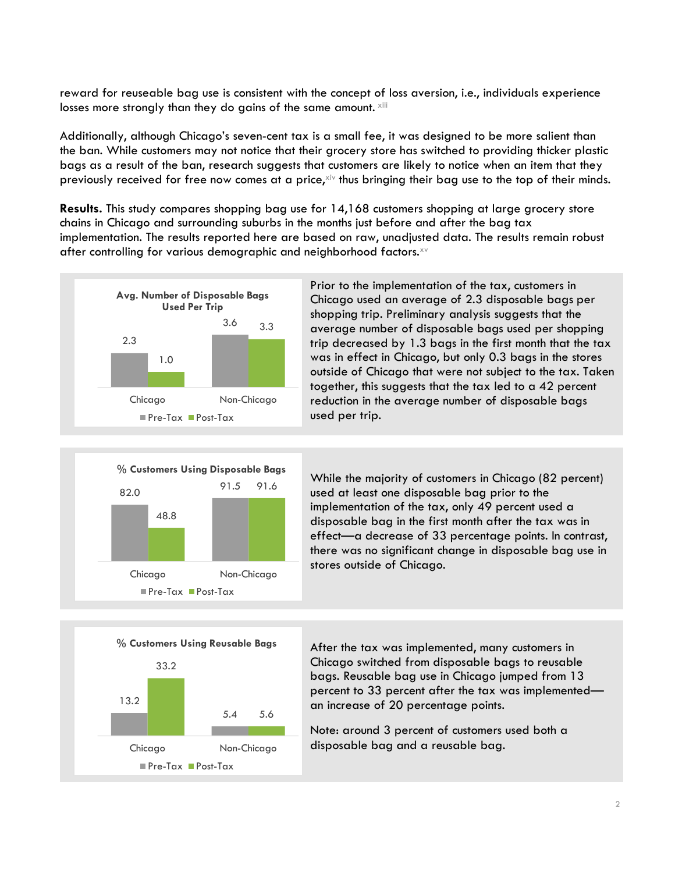reward for reuseable bag use is consistent with the concept of loss aversion, i.e., individuals experience losses more strongly than they do gains of the same amount. Xiii

Additionally, although Chicago's seven-cent tax is a small fee, it was designed to be more salient than the ban. While customers may not notice that their grocery store has switched to providing thicker plastic bags as a result of the ban, research suggests that customers are likely to notice when an item that they previously received for free now comes at a price, xiv thus bringing their bag use to the top of their minds.

**Results.** This study compares shopping bag use for 14,168 customers shopping at large grocery store chains in Chicago and surrounding suburbs in the months just before and after the bag tax implementation. The results reported here are based on raw, unadjusted data. The results remain robust after controlling for various demographic and neighborhood factors.<sup>xv</sup>



Prior to the implementation of the tax, customers in Chicago used an average of 2.3 disposable bags per shopping trip. Preliminary analysis suggests that the average number of disposable bags used per shopping trip decreased by 1.3 bags in the first month that the tax was in effect in Chicago, but only 0.3 bags in the stores outside of Chicago that were not subject to the tax. Taken together, this suggests that the tax led to a 42 percent reduction in the average number of disposable bags used per trip.



While the majority of customers in Chicago (82 percent) used at least one disposable bag prior to the implementation of the tax, only 49 percent used a disposable bag in the first month after the tax was in effect—a decrease of 33 percentage points. In contrast, there was no significant change in disposable bag use in stores outside of Chicago.



After the tax was implemented, many customers in Chicago switched from disposable bags to reusable bags. Reusable bag use in Chicago jumped from 13 percent to 33 percent after the tax was implemented an increase of 20 percentage points.

Note: around 3 percent of customers used both a disposable bag and a reusable bag.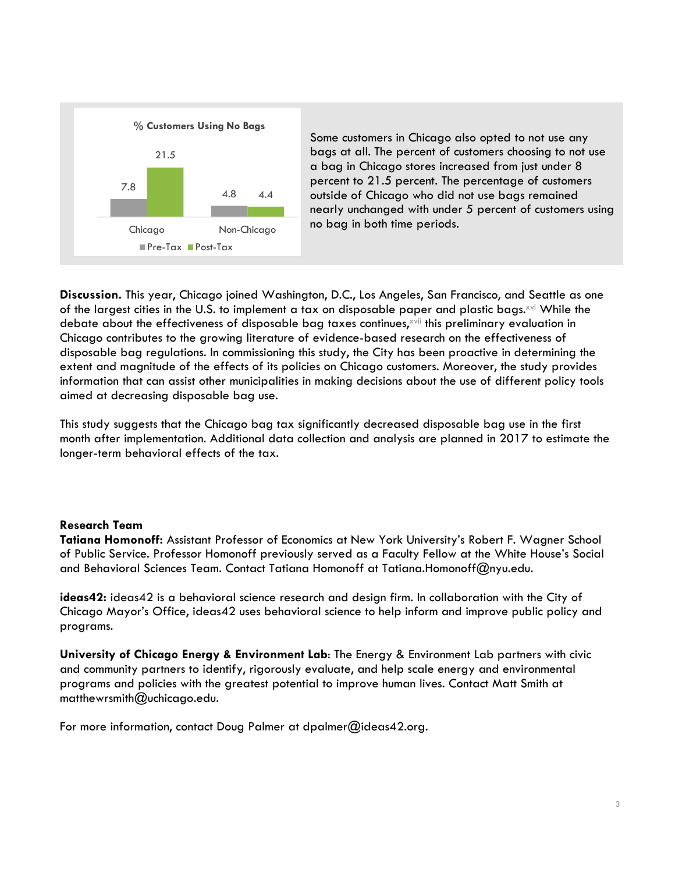

Some customers in Chicago also opted to not use any bags at all. The percent of customers choosing to not use a bag in Chicago stores increased from just under 8 percent to 21.5 percent. The percentage of customers outside of Chicago who did not use bags remained nearly unchanged with under 5 percent of customers using no bag in both time periods.

**Discussion.** This year, Chicago joined Washington, D.C., Los Angeles, San Francisco, and Seattle as one of the largest cities in the U.S. to implement a tax on disposable paper and plastic bags. $x^{1/2}$  While the debate about the effectiveness of disposable bag taxes continues,<sup>xvii</sup> this preliminary evaluation in Chicago contributes to the growing literature of evidence-based research on the effectiveness of disposable bag regulations. In commissioning this study, the City has been proactive in determining the extent and magnitude of the effects of its policies on Chicago customers. Moreover, the study provides information that can assist other municipalities in making decisions about the use of different policy tools aimed at decreasing disposable bag use.

This study suggests that the Chicago bag tax significantly decreased disposable bag use in the first month after implementation. Additional data collection and analysis are planned in 2017 to estimate the longer-term behavioral effects of the tax.

## **Research Team**

**Tatiana Homonoff:** Assistant Professor of Economics at New York University's Robert F. Wagner School of Public Service. Professor Homonoff previously served as a Faculty Fellow at the White House's Social and Behavioral Sciences Team. Contact Tatiana Homonoff at Tatiana.Homonoff@nyu.edu.

**ideas42:** ideas42 is a behavioral science research and design firm. In collaboration with the City of Chicago Mayor's Office, ideas42 uses behavioral science to help inform and improve public policy and programs.

**University of Chicago Energy & Environment Lab**: The Energy & Environment Lab partners with civic and community partners to identify, rigorously evaluate, and help scale energy and environmental programs and policies with the greatest potential to improve human lives. Contact Matt Smith at matthewrsmith@uchicago.edu.

For more information, contact Doug Palmer at dpalmer@ideas42.org.